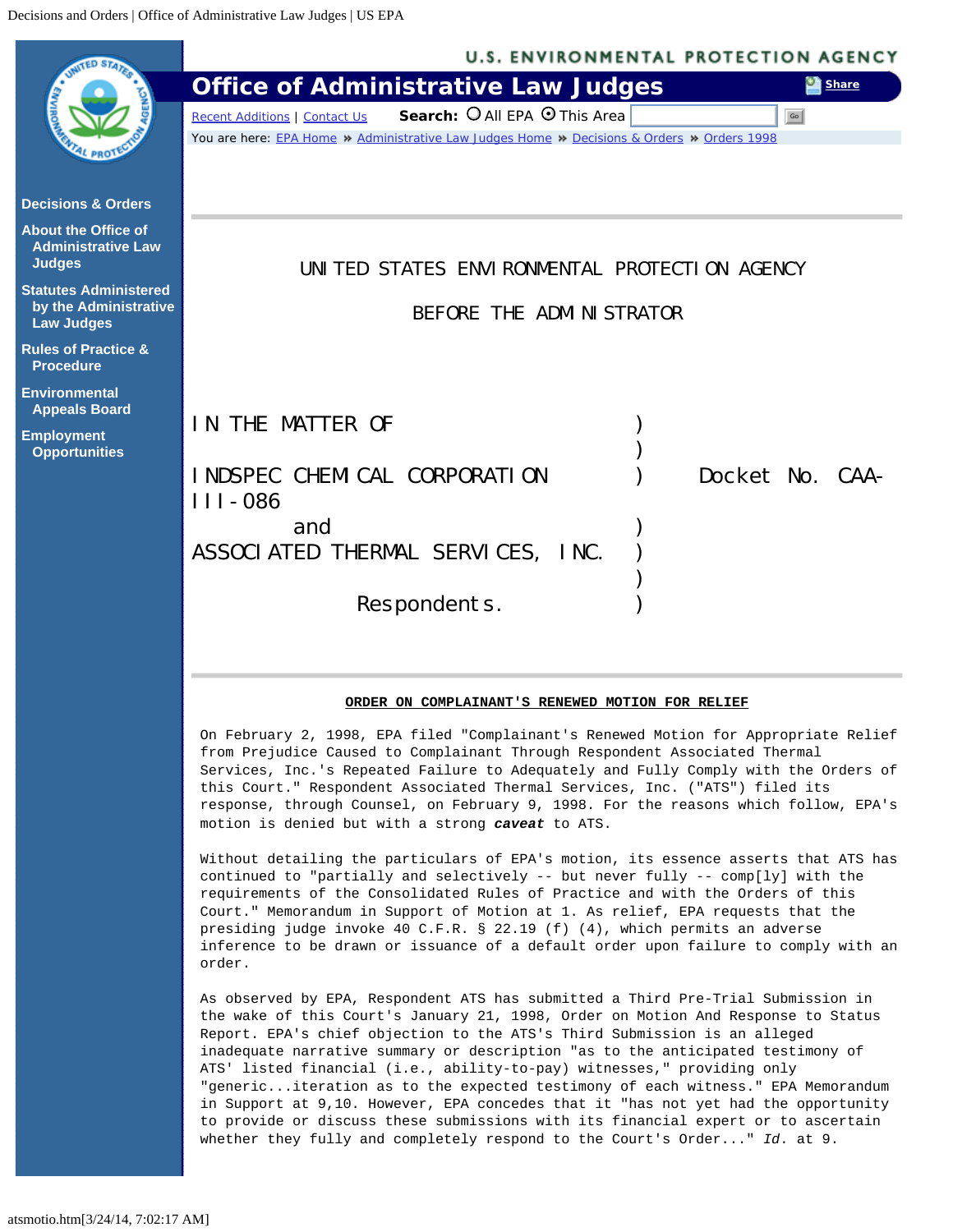<span id="page-0-0"></span>

On February 2, 1998, EPA filed "Complainant's Renewed Motion for Appropriate Relief from Prejudice Caused to Complainant Through Respondent Associated Thermal Services, Inc.'s Repeated Failure to Adequately and Fully Comply with the Orders of this Court." Respondent Associated Thermal Services, Inc. ("ATS") filed its response, through Counsel, on February 9, 1998. For the reasons which follow, EPA's motion is denied but with a strong *caveat* to ATS.

Without detailing the particulars of EPA's motion, its essence asserts that ATS has continued to "partially and selectively -- but never fully -- comp[ly] with the requirements of the Consolidated Rules of Practice and with the Orders of this Court." Memorandum in Support of Motion at 1. As relief, EPA requests that the presiding judge invoke 40 C.F.R. § 22.19 (f) (4), which permits an adverse inference to be drawn or issuance of a default order upon failure to comply with an order.

As observed by EPA, Respondent ATS has submitted a Third Pre-Trial Submission in the wake of this Court's January 21, 1998, Order on Motion And Response to Status Report. EPA's chief objection to the ATS's Third Submission is an alleged inadequate narrative summary or description "as to the anticipated testimony of ATS' listed financial (i.e., ability-to-pay) witnesses," providing only "generic...iteration as to the expected testimony of each witness." EPA Memorandum in Support at 9,10. However, EPA concedes that it "has not yet had the opportunity to provide or discuss these submissions with its financial expert or to ascertain whether they fully and completely respond to the Court's Order..." *Id*. at 9.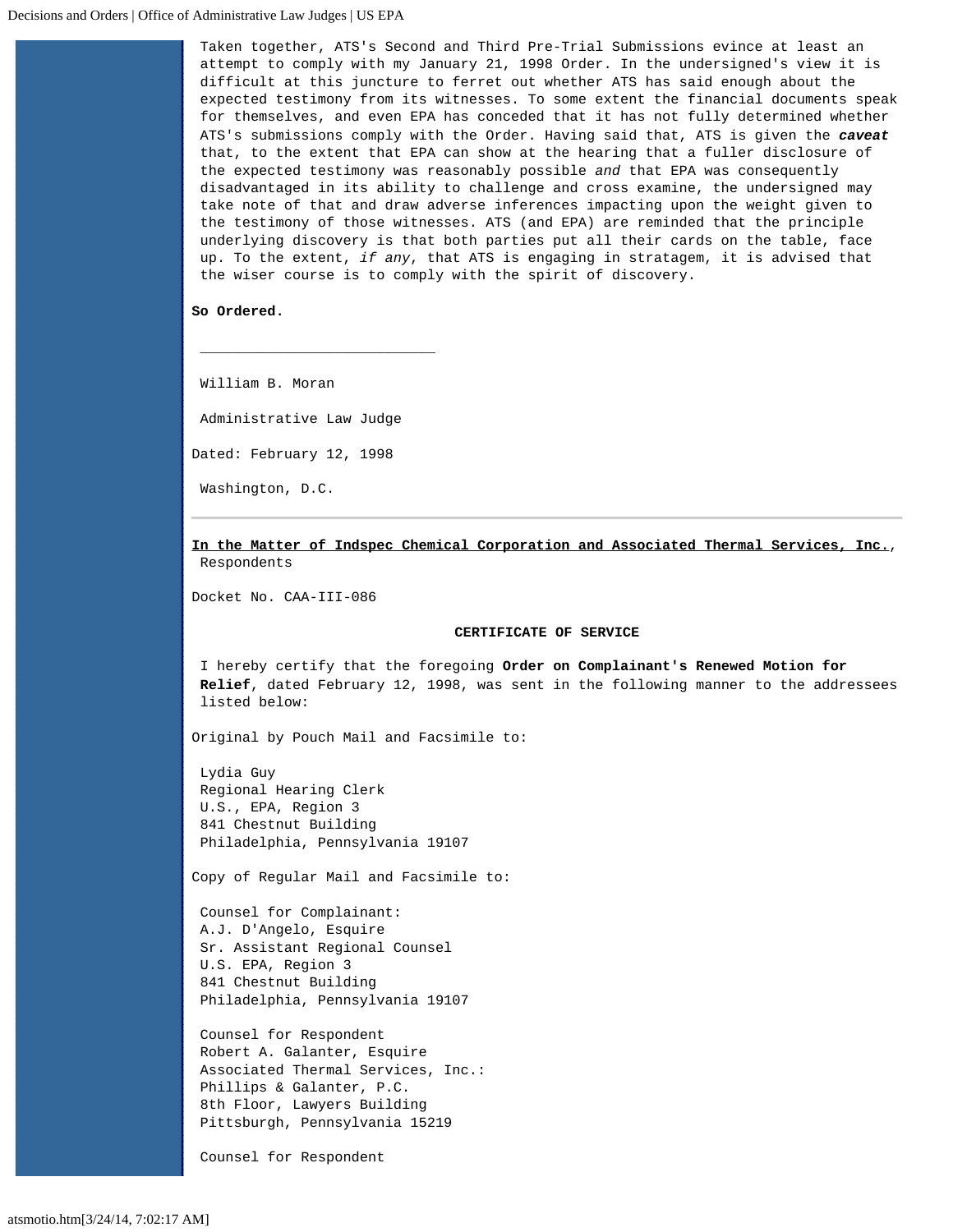Taken together, ATS's Second and Third Pre-Trial Submissions evince at least an attempt to comply with my January 21, 1998 Order. In the undersigned's view it is difficult at this juncture to ferret out whether ATS has said enough about the expected testimony from its witnesses. To some extent the financial documents speak for themselves, and even EPA has conceded that it has not fully determined whether ATS's submissions comply with the Order. Having said that, ATS is given the *caveat* that, to the extent that EPA can show at the hearing that a fuller disclosure of the expected testimony was reasonably possible *and* that EPA was consequently disadvantaged in its ability to challenge and cross examine, the undersigned may take note of that and draw adverse inferences impacting upon the weight given to the testimony of those witnesses. ATS (and EPA) are reminded that the principle underlying discovery is that both parties put all their cards on the table, face up. To the extent, *if any*, that ATS is engaging in stratagem, it is advised that the wiser course is to comply with the spirit of discovery.

## **So Ordered.**

William B. Moran

Administrative Law Judge

**\_\_\_\_\_\_\_\_\_\_\_\_\_\_\_\_\_\_\_\_\_\_\_\_\_\_\_\_**

Dated: February 12, 1998

Washington, D.C.

**In the Matter of Indspec Chemical Corporation and Associated Thermal Services, Inc.**, Respondents

Docket No. CAA-III-086

## **CERTIFICATE OF SERVICE**

I hereby certify that the foregoing **Order on Complainant's Renewed Motion for Relief**, dated February 12, 1998, was sent in the following manner to the addressees listed below:

Original by Pouch Mail and Facsimile to:

Lydia Guy Regional Hearing Clerk U.S., EPA, Region 3 841 Chestnut Building Philadelphia, Pennsylvania 19107

Copy of Regular Mail and Facsimile to:

Counsel for Complainant: A.J. D'Angelo, Esquire Sr. Assistant Regional Counsel U.S. EPA, Region 3 841 Chestnut Building Philadelphia, Pennsylvania 19107

Counsel for Respondent Robert A. Galanter, Esquire Associated Thermal Services, Inc.: Phillips & Galanter, P.C. 8th Floor, Lawyers Building Pittsburgh, Pennsylvania 15219

Counsel for Respondent